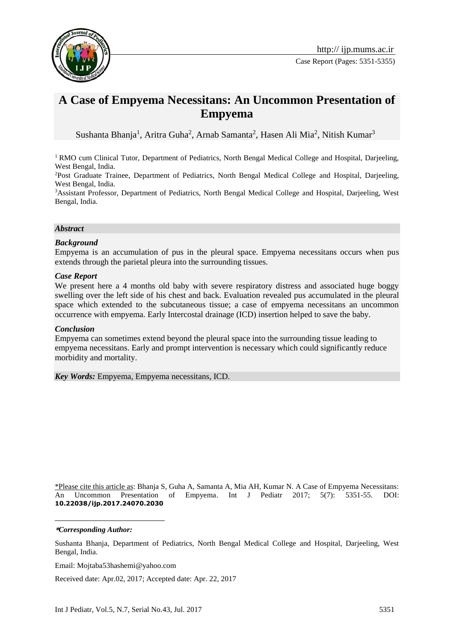

# **A Case of Empyema Necessitans: An Uncommon Presentation of Empyema**

Sushanta Bhanja<sup>1</sup>, Aritra Guha<sup>2</sup>, Arnab Samanta<sup>2</sup>, Hasen Ali Mia<sup>2</sup>, Nitish Kumar<sup>3</sup>

<sup>1</sup> RMO cum Clinical Tutor, Department of Pediatrics, North Bengal Medical College and Hospital, Darjeeling, West Bengal, India.

<sup>2</sup>Post Graduate Trainee, Department of Pediatrics, North Bengal Medical College and Hospital, Darjeeling, West Bengal, India.

<sup>3</sup>Assistant Professor, Department of Pediatrics, North Bengal Medical College and Hospital, Darjeeling, West Bengal, India.

#### *Abstract*

## *Background*

Empyema is an accumulation of pus in the pleural space. Empyema necessitans occurs when pus extends through the parietal pleura into the surrounding tissues.

## *Case Report*

We present here a 4 months old baby with severe respiratory distress and associated huge boggy swelling over the left side of his chest and back. Evaluation revealed pus accumulated in the pleural space which extended to the subcutaneous tissue; a case of empyema necessitans an uncommon occurrence with empyema. Early Intercostal drainage (ICD) insertion helped to save the baby.

#### *Conclusion*

Empyema can sometimes extend beyond the pleural space into the surrounding tissue leading to empyema necessitans. Early and prompt intervention is necessary which could significantly reduce morbidity and mortality.

*Key Words:* Empyema, Empyema necessitans, ICD.

\*Please cite this article as: Bhanja S, Guha A, Samanta A, Mia AH, Kumar N. A Case of Empyema Necessitans: An Uncommon Presentation of Empyema. Int J Pediatr 2017; 5(7): 5351-55. DOI: **10.22038/ijp.2017.24070.2030**

**\****Corresponding Author:*

1

Sushanta Bhanja, Department of Pediatrics, North Bengal Medical College and Hospital, Darjeeling, West Bengal, India.

Email: Mojtaba53hashemi@yahoo.com

Received date: Apr.02, 2017; Accepted date: Apr. 22, 2017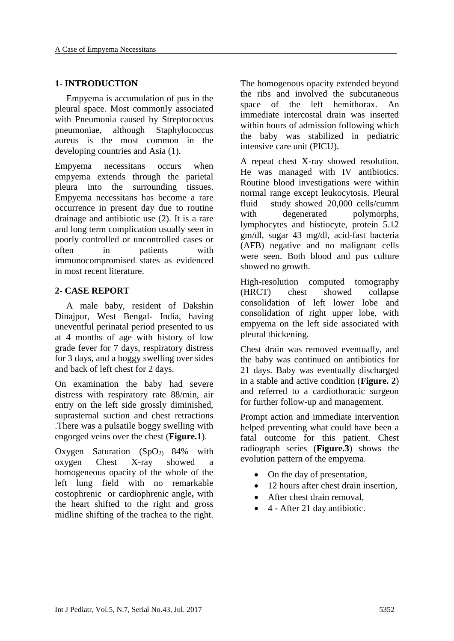## **1- INTRODUCTION**

 Empyema is accumulation of pus in the pleural space. Most commonly associated with Pneumonia caused by Streptococcus pneumoniae, although Staphylococcus aureus is the most common in the developing countries and Asia (1).

Empyema necessitans occurs when empyema extends through the parietal pleura into the surrounding tissues. Empyema necessitans has become a rare occurrence in present day due to routine drainage and antibiotic use (2). It is a rare and long term complication usually seen in poorly controlled or uncontrolled cases or often in patients with immunocompromised states as evidenced in most recent literature.

## **2- CASE REPORT**

 A male baby, resident of Dakshin Dinajpur, West Bengal- India, having uneventful perinatal period presented to us at 4 months of age with history of low grade fever for 7 days, respiratory distress for 3 days, and a boggy swelling over sides and back of left chest for 2 days.

On examination the baby had severe distress with respiratory rate 88/min, air entry on the left side grossly diminished, suprasternal suction and chest retractions .There was a pulsatile boggy swelling with engorged veins over the chest (**Figure.1**).

Oxygen Saturation  $(SpO<sub>2</sub>)$  84% with oxygen Chest X-ray showed a homogeneous opacity of the whole of the left lung field with no remarkable costophrenic or cardiophrenic angle**,** with the heart shifted to the right and gross midline shifting of the trachea to the right.

The homogenous opacity extended beyond the ribs and involved the subcutaneous space of the left hemithorax. An immediate intercostal drain was inserted within hours of admission following which the baby was stabilized in pediatric intensive care unit (PICU).

A repeat chest X-ray showed resolution. He was managed with IV antibiotics. Routine blood investigations were within normal range except leukocytosis. Pleural fluid study showed 20,000 cells/cumm with degenerated polymorphs, lymphocytes and histiocyte, protein 5.12 gm/dl, sugar 43 mg/dl, acid-fast bacteria (AFB) negative and no malignant cells were seen. Both blood and pus culture showed no growth.

High-resolution computed tomography (HRCT) chest showed collapse consolidation of left lower lobe and consolidation of right upper lobe, with empyema on the left side associated with pleural thickening.

Chest drain was removed eventually, and the baby was continued on antibiotics for 21 days. Baby was eventually discharged in a stable and active condition (**Figure. 2**) and referred to a cardiothoracic surgeon for further follow-up and management.

Prompt action and immediate intervention helped preventing what could have been a fatal outcome for this patient. Chest radiograph series (**Figure.3**) shows the evolution pattern of the empyema.

- On the day of presentation,
- 12 hours after chest drain insertion,
- After chest drain removal,
- $\bullet$  4 After 21 day antibiotic.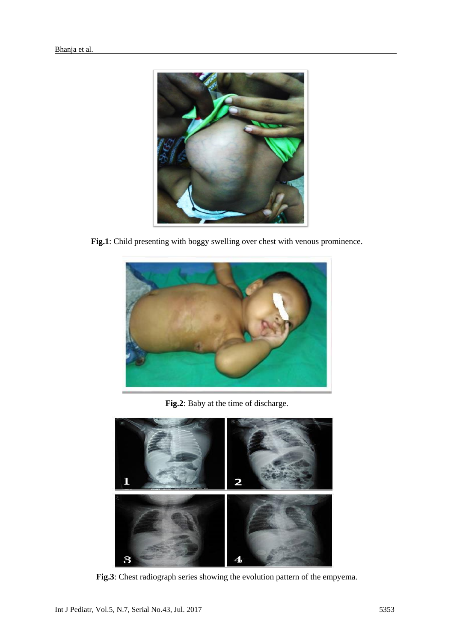

**Fig.1**: Child presenting with boggy swelling over chest with venous prominence.



**Fig.2**: Baby at the time of discharge.



**Fig.3**: Chest radiograph series showing the evolution pattern of the empyema.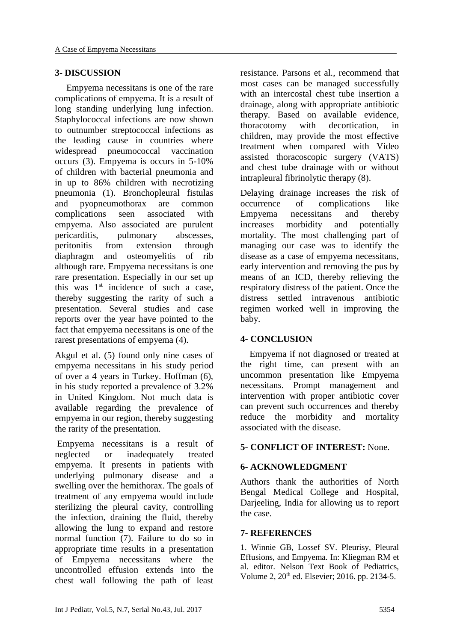## **3- DISCUSSION**

 Empyema necessitans is one of the rare complications of empyema. It is a result of long standing underlying lung infection. Staphylococcal infections are now shown to outnumber streptococcal infections as the leading cause in countries where widespread pneumococcal vaccination occurs (3). Empyema is occurs in 5-10% of children with bacterial pneumonia and in up to 86% children with necrotizing pneumonia (1). Bronchopleural fistulas and pyopneumothorax are common complications seen associated with empyema. Also associated are purulent pericarditis, pulmonary abscesses, peritonitis from extension through diaphragm and osteomyelitis of rib although rare. Empyema necessitans is one rare presentation. Especially in our set up this was  $1<sup>st</sup>$  incidence of such a case, thereby suggesting the rarity of such a presentation. Several studies and case reports over the year have pointed to the fact that empyema necessitans is one of the rarest presentations of empyema (4).

Akgul et al. (5) found only nine cases of empyema necessitans in his study period of over a 4 years in Turkey. Hoffman (6), in his study reported a prevalence of 3.2% in United Kingdom. Not much data is available regarding the prevalence of empyema in our region, thereby suggesting the rarity of the presentation.

Empyema necessitans is a result of neglected or inadequately treated empyema. It presents in patients with underlying pulmonary disease and a swelling over the hemithorax. The goals of treatment of any empyema would include sterilizing the pleural cavity, controlling the infection, draining the fluid, thereby allowing the lung to expand and restore normal function (7). Failure to do so in appropriate time results in a presentation of Empyema necessitans where the uncontrolled effusion extends into the chest wall following the path of least resistance. Parsons et al., recommend that most cases can be managed successfully with an intercostal chest tube insertion a drainage, along with appropriate antibiotic therapy. Based on available evidence, thoracotomy with decortication, in children, may provide the most effective treatment when compared with Video assisted thoracoscopic surgery (VATS) and chest tube drainage with or without intrapleural fibrinolytic therapy (8).

Delaying drainage increases the risk of occurrence of complications like Empyema necessitans and thereby increases morbidity and potentially mortality. The most challenging part of managing our case was to identify the disease as a case of empyema necessitans, early intervention and removing the pus by means of an ICD, thereby relieving the respiratory distress of the patient. Once the distress settled intravenous antibiotic regimen worked well in improving the baby.

# **4- CONCLUSION**

 Empyema if not diagnosed or treated at the right time, can present with an uncommon presentation like Empyema necessitans. Prompt management and intervention with proper antibiotic cover can prevent such occurrences and thereby reduce the morbidity and mortality associated with the disease.

# **5- CONFLICT OF INTEREST:** None.

# **6- ACKNOWLEDGMENT**

Authors thank the authorities of North Bengal Medical College and Hospital, Darjeeling, India for allowing us to report the case.

## **7- REFERENCES**

1. Winnie GB, Lossef SV. Pleurisy, Pleural Effusions, and Empyema. In: Kliegman RM et al. editor. Nelson Text Book of Pediatrics, Volume 2, 20<sup>th</sup> ed. Elsevier; 2016. pp. 2134-5.